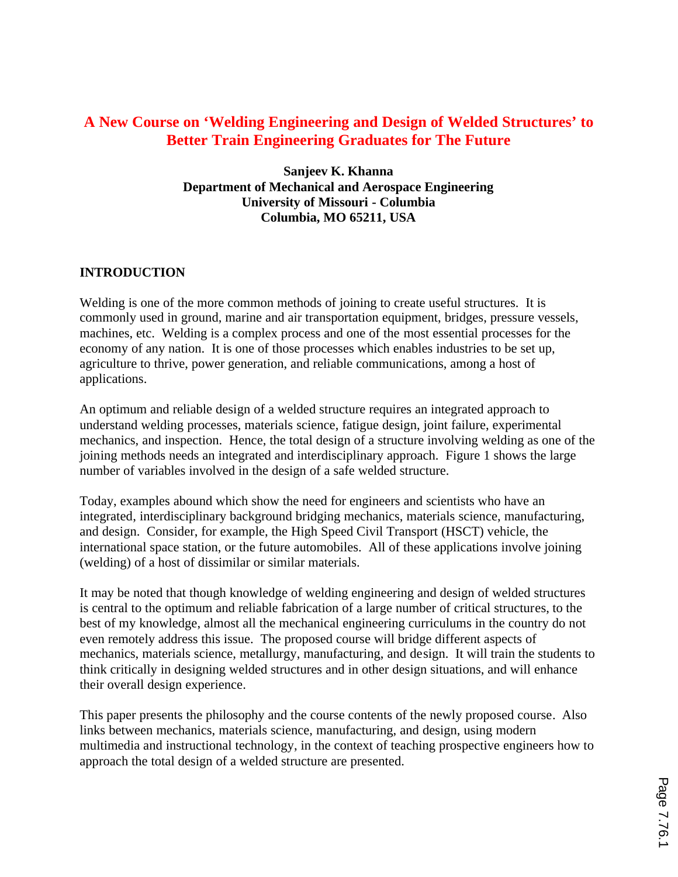# **A New Course on 'Welding Engineering and Design of Welded Structures' to Better Train Engineering Graduates for The Future**

**Sanjeev K. Khanna Department of Mechanical and Aerospace Engineering University of Missouri - Columbia Columbia, MO 65211, USA**

# **INTRODUCTION**

Welding is one of the more common methods of joining to create useful structures. It is commonly used in ground, marine and air transportation equipment, bridges, pressure vessels, machines, etc. Welding is a complex process and one of the most essential processes for the economy of any nation. It is one of those processes which enables industries to be set up, agriculture to thrive, power generation, and reliable communications, among a host of applications.

An optimum and reliable design of a welded structure requires an integrated approach to understand welding processes, materials science, fatigue design, joint failure, experimental mechanics, and inspection. Hence, the total design of a structure involving welding as one of the joining methods needs an integrated and interdisciplinary approach. Figure 1 shows the large number of variables involved in the design of a safe welded structure.

Today, examples abound which show the need for engineers and scientists who have an integrated, interdisciplinary background bridging mechanics, materials science, manufacturing, and design. Consider, for example, the High Speed Civil Transport (HSCT) vehicle, the international space station, or the future automobiles. All of these applications involve joining (welding) of a host of dissimilar or similar materials.

It may be noted that though knowledge of welding engineering and design of welded structures is central to the optimum and reliable fabrication of a large number of critical structures, to the best of my knowledge, almost all the mechanical engineering curriculums in the country do not even remotely address this issue. The proposed course will bridge different aspects of mechanics, materials science, metallurgy, manufacturing, and design. It will train the students to think critically in designing welded structures and in other design situations, and will enhance their overall design experience.

This paper presents the philosophy and the course contents of the newly proposed course. Also links between mechanics, materials science, manufacturing, and design, using modern multimedia and instructional technology, in the context of teaching prospective engineers how to approach the total design of a welded structure are presented.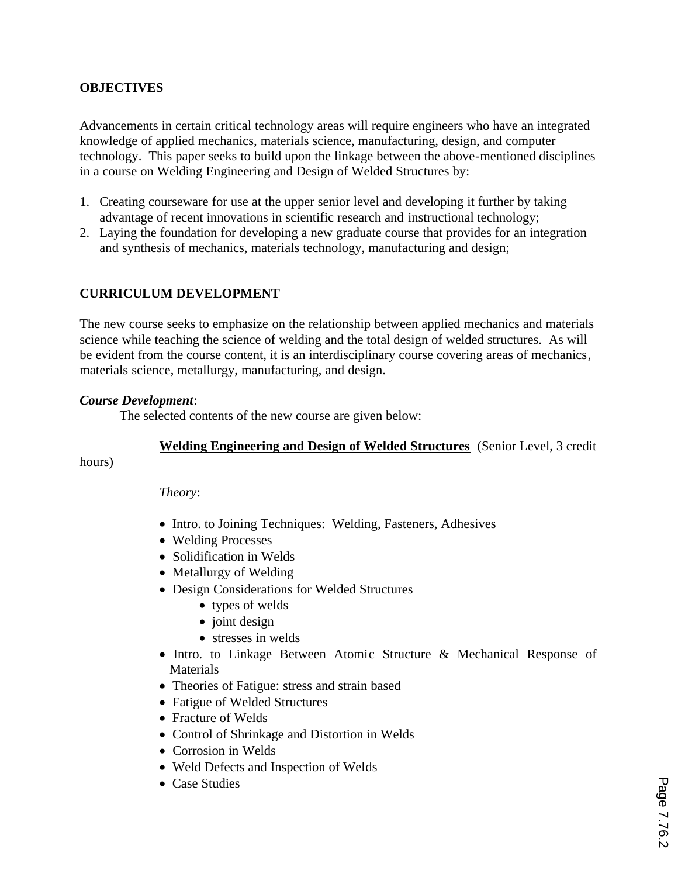# **OBJECTIVES**

Advancements in certain critical technology areas will require engineers who have an integrated knowledge of applied mechanics, materials science, manufacturing, design, and computer technology. This paper seeks to build upon the linkage between the above-mentioned disciplines in a course on Welding Engineering and Design of Welded Structures by:

- 1. Creating courseware for use at the upper senior level and developing it further by taking advantage of recent innovations in scientific research and instructional technology;
- 2. Laying the foundation for developing a new graduate course that provides for an integration and synthesis of mechanics, materials technology, manufacturing and design;

### **CURRICULUM DEVELOPMENT**

The new course seeks to emphasize on the relationship between applied mechanics and materials science while teaching the science of welding and the total design of welded structures. As will be evident from the course content, it is an interdisciplinary course covering areas of mechanics, materials science, metallurgy, manufacturing, and design.

#### *Course Development*:

The selected contents of the new course are given below:

#### **Welding Engineering and Design of Welded Structures** (Senior Level, 3 credit

hours)

#### *Theory*:

- Intro. to Joining Techniques: Welding, Fasteners, Adhesives
- · Welding Processes
- Solidification in Welds
- Metallurgy of Welding
- · Design Considerations for Welded Structures
	- types of welds
	- joint design
	- stresses in welds
- · Intro. to Linkage Between Atomic Structure & Mechanical Response of **Materials**
- · Theories of Fatigue: stress and strain based
- · Fatigue of Welded Structures
- Fracture of Welds
- · Control of Shrinkage and Distortion in Welds
- · Corrosion in Welds
- · Weld Defects and Inspection of Welds
- Case Studies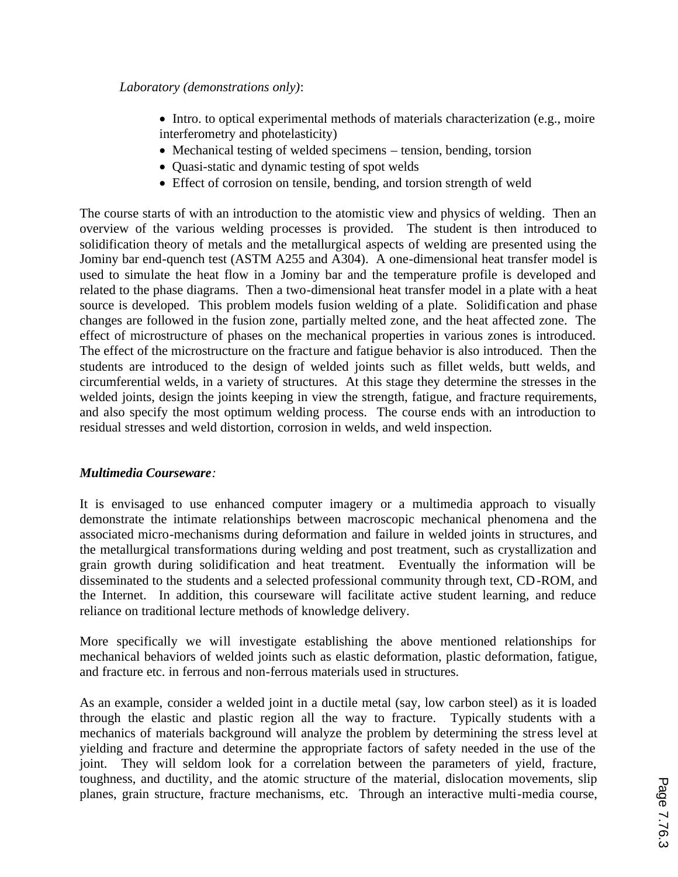- · Intro. to optical experimental methods of materials characterization (e.g., moire interferometry and photelasticity)
- Mechanical testing of welded specimens tension, bending, torsion
- · Quasi-static and dynamic testing of spot welds
- Effect of corrosion on tensile, bending, and torsion strength of weld

The course starts of with an introduction to the atomistic view and physics of welding. Then an overview of the various welding processes is provided. The student is then introduced to solidification theory of metals and the metallurgical aspects of welding are presented using the Jominy bar end-quench test (ASTM A255 and A304). A one-dimensional heat transfer model is used to simulate the heat flow in a Jominy bar and the temperature profile is developed and related to the phase diagrams. Then a two-dimensional heat transfer model in a plate with a heat source is developed. This problem models fusion welding of a plate. Solidification and phase changes are followed in the fusion zone, partially melted zone, and the heat affected zone. The effect of microstructure of phases on the mechanical properties in various zones is introduced. The effect of the microstructure on the fracture and fatigue behavior is also introduced. Then the students are introduced to the design of welded joints such as fillet welds, butt welds, and circumferential welds, in a variety of structures. At this stage they determine the stresses in the welded joints, design the joints keeping in view the strength, fatigue, and fracture requirements, and also specify the most optimum welding process. The course ends with an introduction to residual stresses and weld distortion, corrosion in welds, and weld inspection.

# *Multimedia Courseware:*

It is envisaged to use enhanced computer imagery or a multimedia approach to visually demonstrate the intimate relationships between macroscopic mechanical phenomena and the associated micro-mechanisms during deformation and failure in welded joints in structures, and the metallurgical transformations during welding and post treatment, such as crystallization and grain growth during solidification and heat treatment. Eventually the information will be disseminated to the students and a selected professional community through text, CD-ROM, and the Internet. In addition, this courseware will facilitate active student learning, and reduce reliance on traditional lecture methods of knowledge delivery.

More specifically we will investigate establishing the above mentioned relationships for mechanical behaviors of welded joints such as elastic deformation, plastic deformation, fatigue, and fracture etc. in ferrous and non-ferrous materials used in structures.

As an example, consider a welded joint in a ductile metal (say, low carbon steel) as it is loaded through the elastic and plastic region all the way to fracture. Typically students with a mechanics of materials background will analyze the problem by determining the stress level at yielding and fracture and determine the appropriate factors of safety needed in the use of the joint. They will seldom look for a correlation between the parameters of yield, fracture, toughness, and ductility, and the atomic structure of the material, dislocation movements, slip planes, grain structure, fracture mechanisms, etc. Through an interactive multi-media course,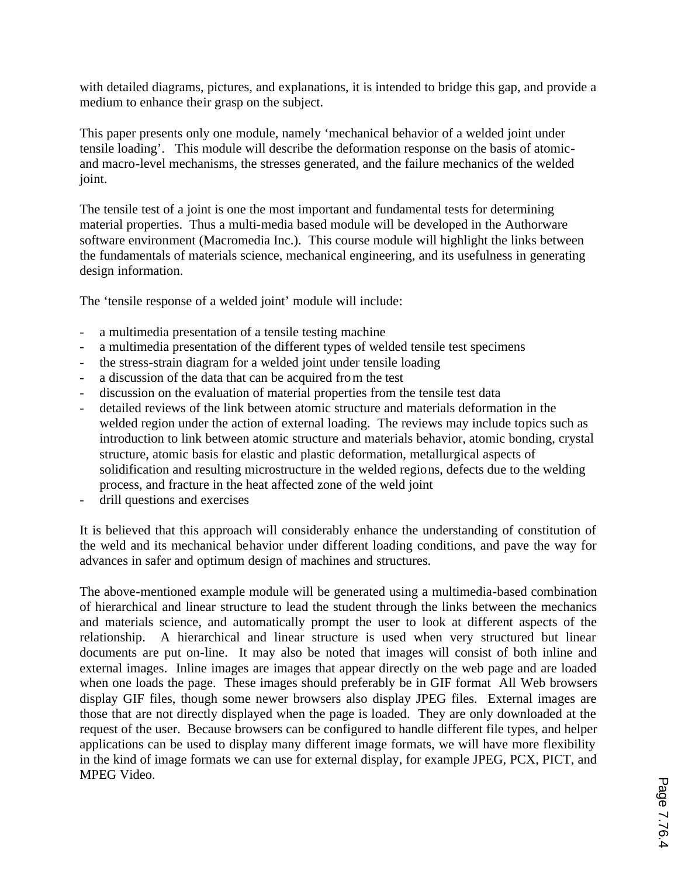with detailed diagrams, pictures, and explanations, it is intended to bridge this gap, and provide a medium to enhance their grasp on the subject.

This paper presents only one module, namely 'mechanical behavior of a welded joint under tensile loading'. This module will describe the deformation response on the basis of atomicand macro-level mechanisms, the stresses generated, and the failure mechanics of the welded joint.

The tensile test of a joint is one the most important and fundamental tests for determining material properties. Thus a multi-media based module will be developed in the Authorware software environment (Macromedia Inc.). This course module will highlight the links between the fundamentals of materials science, mechanical engineering, and its usefulness in generating design information.

The 'tensile response of a welded joint' module will include:

- a multimedia presentation of a tensile testing machine
- a multimedia presentation of the different types of welded tensile test specimens
- the stress-strain diagram for a welded joint under tensile loading
- a discussion of the data that can be acquired from the test
- discussion on the evaluation of material properties from the tensile test data
- detailed reviews of the link between atomic structure and materials deformation in the welded region under the action of external loading. The reviews may include topics such as introduction to link between atomic structure and materials behavior, atomic bonding, crystal structure, atomic basis for elastic and plastic deformation, metallurgical aspects of solidification and resulting microstructure in the welded regions, defects due to the welding process, and fracture in the heat affected zone of the weld joint
- drill questions and exercises

It is believed that this approach will considerably enhance the understanding of constitution of the weld and its mechanical behavior under different loading conditions, and pave the way for advances in safer and optimum design of machines and structures.

The above-mentioned example module will be generated using a multimedia-based combination of hierarchical and linear structure to lead the student through the links between the mechanics and materials science, and automatically prompt the user to look at different aspects of the relationship. A hierarchical and linear structure is used when very structured but linear documents are put on-line. It may also be noted that images will consist of both inline and external images. Inline images are images that appear directly on the web page and are loaded when one loads the page. These images should preferably be in GIF format All Web browsers display GIF files, though some newer browsers also display JPEG files. External images are those that are not directly displayed when the page is loaded. They are only downloaded at the request of the user. Because browsers can be configured to handle different file types, and helper applications can be used to display many different image formats, we will have more flexibility in the kind of image formats we can use for external display, for example JPEG, PCX, PICT, and MPEG Video.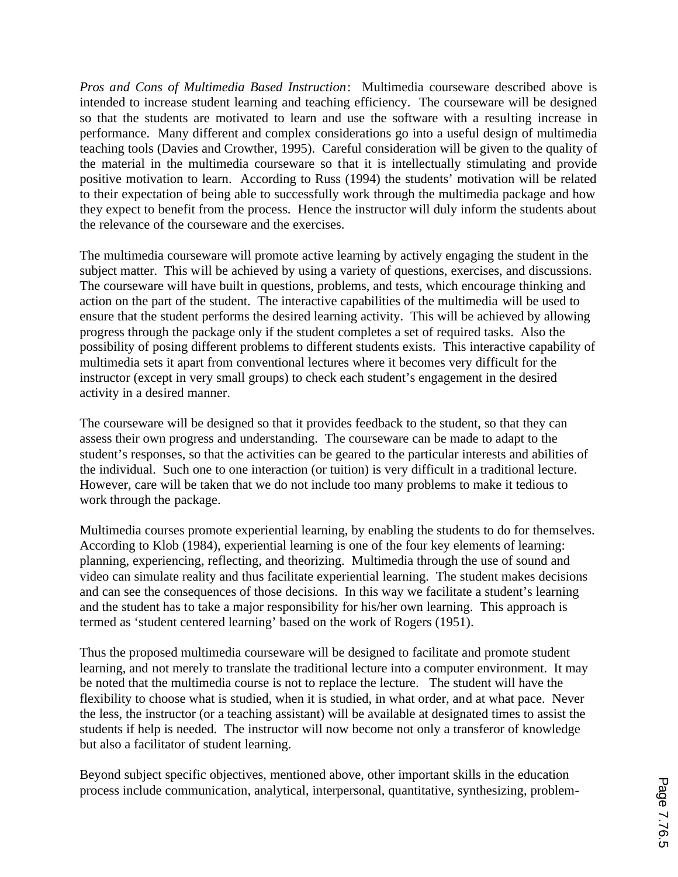*Pros and Cons of Multimedia Based Instruction*: Multimedia courseware described above is intended to increase student learning and teaching efficiency. The courseware will be designed so that the students are motivated to learn and use the software with a resulting increase in performance. Many different and complex considerations go into a useful design of multimedia teaching tools (Davies and Crowther, 1995). Careful consideration will be given to the quality of the material in the multimedia courseware so that it is intellectually stimulating and provide positive motivation to learn. According to Russ (1994) the students' motivation will be related to their expectation of being able to successfully work through the multimedia package and how they expect to benefit from the process. Hence the instructor will duly inform the students about the relevance of the courseware and the exercises.

The multimedia courseware will promote active learning by actively engaging the student in the subject matter. This will be achieved by using a variety of questions, exercises, and discussions. The courseware will have built in questions, problems, and tests, which encourage thinking and action on the part of the student. The interactive capabilities of the multimedia will be used to ensure that the student performs the desired learning activity. This will be achieved by allowing progress through the package only if the student completes a set of required tasks. Also the possibility of posing different problems to different students exists. This interactive capability of multimedia sets it apart from conventional lectures where it becomes very difficult for the instructor (except in very small groups) to check each student's engagement in the desired activity in a desired manner.

The courseware will be designed so that it provides feedback to the student, so that they can assess their own progress and understanding. The courseware can be made to adapt to the student's responses, so that the activities can be geared to the particular interests and abilities of the individual. Such one to one interaction (or tuition) is very difficult in a traditional lecture. However, care will be taken that we do not include too many problems to make it tedious to work through the package.

Multimedia courses promote experiential learning, by enabling the students to do for themselves. According to Klob (1984), experiential learning is one of the four key elements of learning: planning, experiencing, reflecting, and theorizing. Multimedia through the use of sound and video can simulate reality and thus facilitate experiential learning. The student makes decisions and can see the consequences of those decisions. In this way we facilitate a student's learning and the student has to take a major responsibility for his/her own learning. This approach is termed as 'student centered learning' based on the work of Rogers (1951).

Thus the proposed multimedia courseware will be designed to facilitate and promote student learning, and not merely to translate the traditional lecture into a computer environment. It may be noted that the multimedia course is not to replace the lecture. The student will have the flexibility to choose what is studied, when it is studied, in what order, and at what pace. Never the less, the instructor (or a teaching assistant) will be available at designated times to assist the students if help is needed. The instructor will now become not only a transferor of knowledge but also a facilitator of student learning.

Beyond subject specific objectives, mentioned above, other important skills in the education process include communication, analytical, interpersonal, quantitative, synthesizing, problem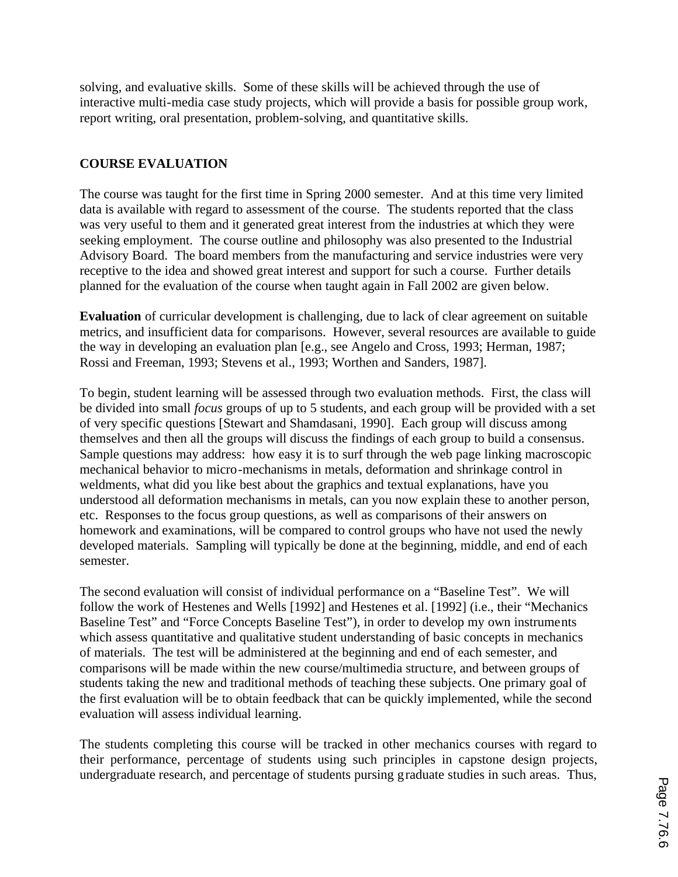solving, and evaluative skills. Some of these skills will be achieved through the use of interactive multi-media case study projects, which will provide a basis for possible group work, report writing, oral presentation, problem-solving, and quantitative skills.

# **COURSE EVALUATION**

The course was taught for the first time in Spring 2000 semester. And at this time very limited data is available with regard to assessment of the course. The students reported that the class was very useful to them and it generated great interest from the industries at which they were seeking employment. The course outline and philosophy was also presented to the Industrial Advisory Board. The board members from the manufacturing and service industries were very receptive to the idea and showed great interest and support for such a course. Further details planned for the evaluation of the course when taught again in Fall 2002 are given below.

**Evaluation** of curricular development is challenging, due to lack of clear agreement on suitable metrics, and insufficient data for comparisons. However, several resources are available to guide the way in developing an evaluation plan [e.g., see Angelo and Cross, 1993; Herman, 1987; Rossi and Freeman, 1993; Stevens et al., 1993; Worthen and Sanders, 1987].

To begin, student learning will be assessed through two evaluation methods. First, the class will be divided into small *focus* groups of up to 5 students, and each group will be provided with a set of very specific questions [Stewart and Shamdasani, 1990]. Each group will discuss among themselves and then all the groups will discuss the findings of each group to build a consensus. Sample questions may address: how easy it is to surf through the web page linking macroscopic mechanical behavior to micro-mechanisms in metals, deformation and shrinkage control in weldments, what did you like best about the graphics and textual explanations, have you understood all deformation mechanisms in metals, can you now explain these to another person, etc. Responses to the focus group questions, as well as comparisons of their answers on homework and examinations, will be compared to control groups who have not used the newly developed materials. Sampling will typically be done at the beginning, middle, and end of each semester.

The second evaluation will consist of individual performance on a "Baseline Test". We will follow the work of Hestenes and Wells [1992] and Hestenes et al. [1992] (i.e., their "Mechanics Baseline Test" and "Force Concepts Baseline Test"), in order to develop my own instruments which assess quantitative and qualitative student understanding of basic concepts in mechanics of materials. The test will be administered at the beginning and end of each semester, and comparisons will be made within the new course/multimedia structure, and between groups of students taking the new and traditional methods of teaching these subjects. One primary goal of the first evaluation will be to obtain feedback that can be quickly implemented, while the second evaluation will assess individual learning.

The students completing this course will be tracked in other mechanics courses with regard to their performance, percentage of students using such principles in capstone design projects, undergraduate research, and percentage of students pursing graduate studies in such areas. Thus,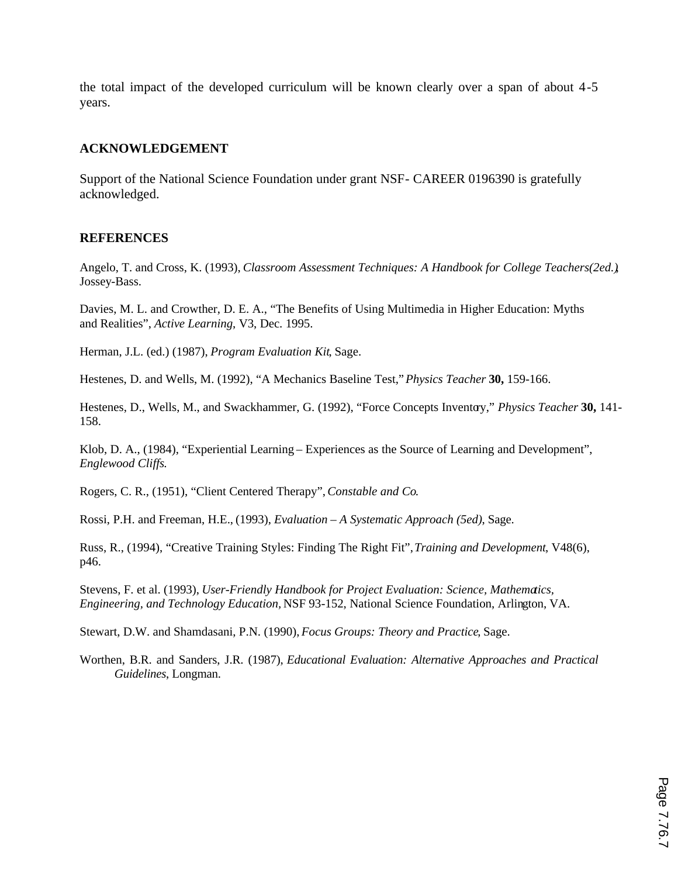the total impact of the developed curriculum will be known clearly over a span of about 4-5 years.

### **ACKNOWLEDGEMENT**

Support of the National Science Foundation under grant NSF- CAREER 0196390 is gratefully acknowledged.

### **REFERENCES**

Angelo, T. and Cross, K. (1993), *Classroom Assessment Techniques: A Handbook for College Teachers(2ed.)*, Jossey-Bass.

Davies, M. L. and Crowther, D. E. A., "The Benefits of Using Multimedia in Higher Education: Myths and Realities", *Active Learning*, V3, Dec. 1995.

Herman, J.L. (ed.) (1987), *Program Evaluation Kit*, Sage.

Hestenes, D. and Wells, M. (1992), "A Mechanics Baseline Test," *Physics Teacher* **30,** 159-166.

Hestenes, D., Wells, M., and Swackhammer, G. (1992), "Force Concepts Inventory," *Physics Teacher* **30,** 141- 158.

Klob, D. A., (1984), "Experiential Learning – Experiences as the Source of Learning and Development", *Englewood Cliffs*.

Rogers, C. R., (1951), "Client Centered Therapy", *Constable and Co*.

Rossi, P.H. and Freeman, H.E., (1993), *Evaluation – A Systematic Approach (5ed)*, Sage.

Russ, R., (1994), "Creative Training Styles: Finding The Right Fit", *Training and Development*, V48(6), p46.

Stevens, F. et al. (1993), *User-Friendly Handbook for Project Evaluation: Science, Mathematics, Engineering, and Technology Education,* NSF 93-152, National Science Foundation, Arlington, VA.

Stewart, D.W. and Shamdasani, P.N. (1990), *Focus Groups: Theory and Practice*, Sage.

Worthen, B.R. and Sanders, J.R. (1987), *Educational Evaluation: Alternative Approaches and Practical Guidelines*, Longman.